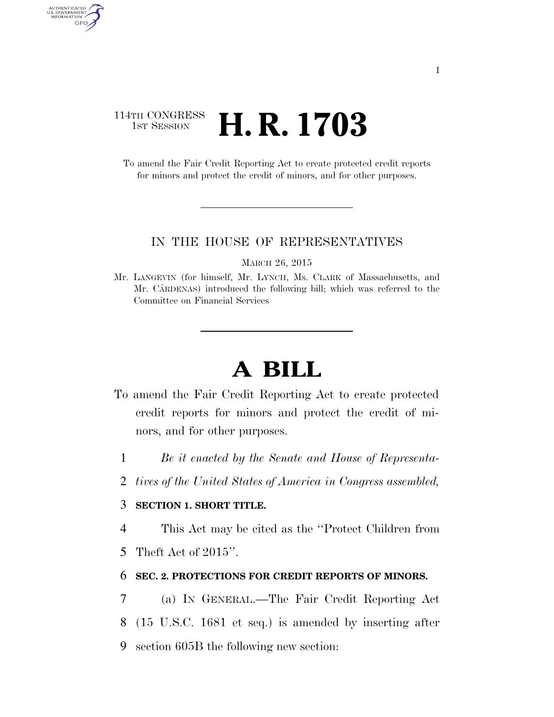### 114TH CONGRESS <sup>TH CONGRESS</sup> **H. R. 1703**

AUTHENTICATED<br>U.S. GOVERNMENT<br>INFORMATION GPO

> To amend the Fair Credit Reporting Act to create protected credit reports for minors and protect the credit of minors, and for other purposes.

#### IN THE HOUSE OF REPRESENTATIVES

MARCH 26, 2015

Mr. LANGEVIN (for himself, Mr. LYNCH, Ms. CLARK of Massachusetts, and Mr. CARDENAS) introduced the following bill; which was referred to the Committee on Financial Services

# **A BILL**

- To amend the Fair Credit Reporting Act to create protected credit reports for minors and protect the credit of minors, and for other purposes.
	- 1 *Be it enacted by the Senate and House of Representa-*
	- 2 *tives of the United States of America in Congress assembled,*

#### 3 **SECTION 1. SHORT TITLE.**

4 This Act may be cited as the ''Protect Children from

5 Theft Act of 2015''.

#### 6 **SEC. 2. PROTECTIONS FOR CREDIT REPORTS OF MINORS.**

7 (a) IN GENERAL.—The Fair Credit Reporting Act 8 (15 U.S.C. 1681 et seq.) is amended by inserting after 9 section 605B the following new section: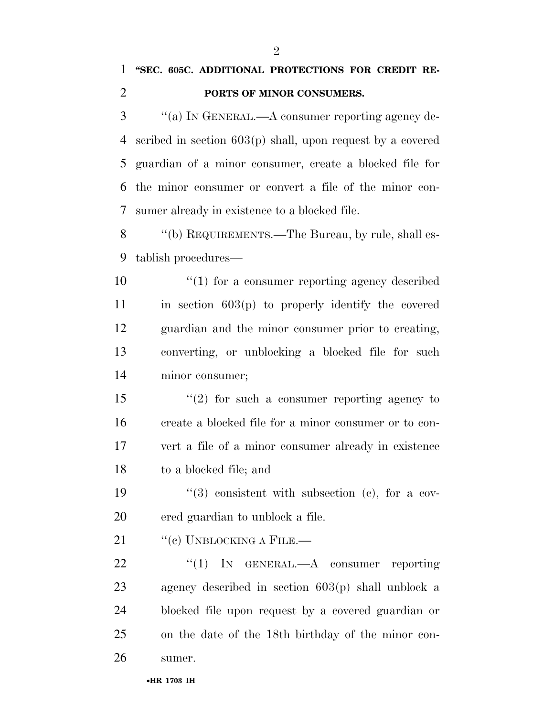## **''SEC. 605C. ADDITIONAL PROTECTIONS FOR CREDIT RE-PORTS OF MINOR CONSUMERS.**

 ''(a) IN GENERAL.—A consumer reporting agency de- scribed in section 603(p) shall, upon request by a covered guardian of a minor consumer, create a blocked file for the minor consumer or convert a file of the minor con-sumer already in existence to a blocked file.

8 "(b) REQUIREMENTS.—The Bureau, by rule, shall es-tablish procedures—

 $\mathcal{L}(1)$  for a consumer reporting agency described in section  $603(p)$  to properly identify the covered guardian and the minor consumer prior to creating, converting, or unblocking a blocked file for such minor consumer;

 ''(2) for such a consumer reporting agency to create a blocked file for a minor consumer or to con- vert a file of a minor consumer already in existence to a blocked file; and

19  $(3)$  consistent with subsection (c), for a cov-ered guardian to unblock a file.

21  $"$ (c) UNBLOCKING A FILE.—

22 "(1) IN GENERAL.—A consumer reporting agency described in section 603(p) shall unblock a blocked file upon request by a covered guardian or on the date of the 18th birthday of the minor con-sumer.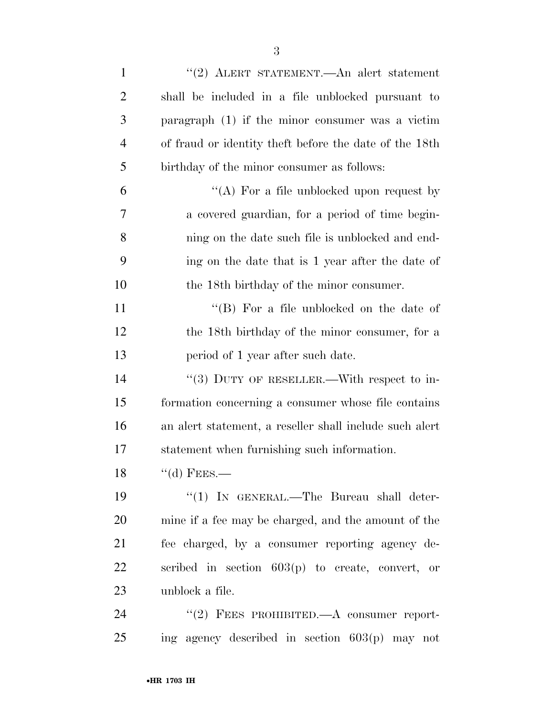| $\mathbf{1}$   | "(2) ALERT STATEMENT.—An alert statement                |
|----------------|---------------------------------------------------------|
| $\overline{2}$ | shall be included in a file unblocked pursuant to       |
| 3              | paragraph $(1)$ if the minor consumer was a victim      |
| $\overline{4}$ | of fraud or identity the t before the date of the 18th  |
| 5              | birthday of the minor consumer as follows:              |
| 6              | "(A) For a file unblocked upon request by               |
| 7              | a covered guardian, for a period of time begin-         |
| 8              | ning on the date such file is unblocked and end-        |
| 9              | ing on the date that is 1 year after the date of        |
| 10             | the 18th birthday of the minor consumer.                |
| 11             | "(B) For a file unblocked on the date of                |
| 12             | the 18th birthday of the minor consumer, for a          |
| 13             | period of 1 year after such date.                       |
| 14             | "(3) DUTY OF RESELLER.—With respect to in-              |
| 15             | formation concerning a consumer whose file contains     |
| 16             | an alert statement, a reseller shall include such alert |
| 17             | statement when furnishing such information.             |
| 18             | $\lq\lq$ FEES.                                          |
| 19             | $\lq(1)$ In GENERAL.—The Bureau shall deter-            |
| 20             | mine if a fee may be charged, and the amount of the     |
| 21             | fee charged, by a consumer reporting agency de-         |
| 22             | scribed in section $603(p)$ to create, convert, or      |
| 23             | unblock a file.                                         |
| 24             | $((2)$ FEES PROHIBITED.—A consumer report-              |
| 25             | ing agency described in section $603(p)$ may not        |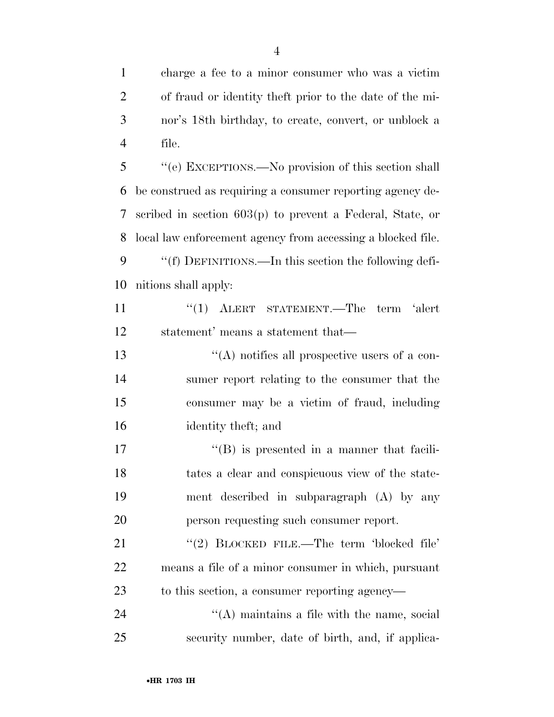charge a fee to a minor consumer who was a victim of fraud or identity theft prior to the date of the mi- nor's 18th birthday, to create, convert, or unblock a file.

 ''(e) EXCEPTIONS.—No provision of this section shall be construed as requiring a consumer reporting agency de- scribed in section 603(p) to prevent a Federal, State, or local law enforcement agency from accessing a blocked file. ''(f) DEFINITIONS.—In this section the following defi-nitions shall apply:

11 ''(1) ALERT STATEMENT.—The term 'alert statement' means a statement that—

 ''(A) notifies all prospective users of a con- sumer report relating to the consumer that the consumer may be a victim of fraud, including identity theft; and

17 ''(B) is presented in a manner that facili- tates a clear and conspicuous view of the state- ment described in subparagraph (A) by any person requesting such consumer report.

21 "(2) BLOCKED FILE.—The term 'blocked file' means a file of a minor consumer in which, pursuant to this section, a consumer reporting agency—

24  $\langle A \rangle$  maintains a file with the name, social security number, date of birth, and, if applica-